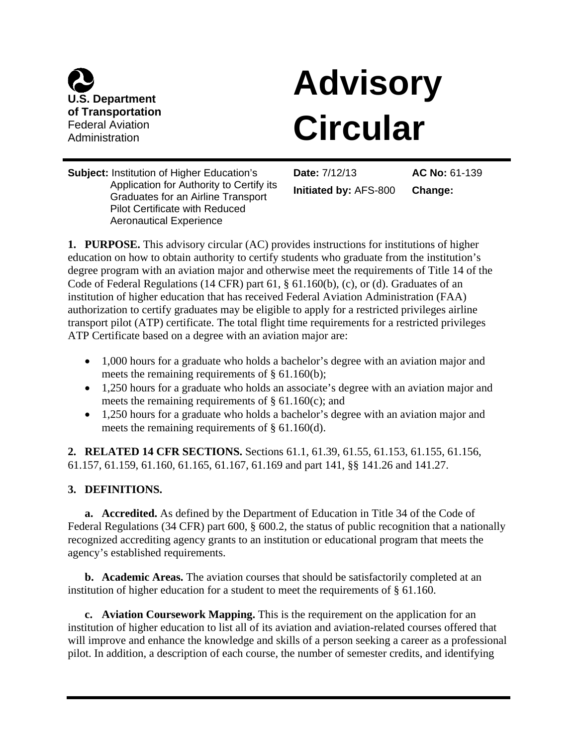

# **Advisory Circular**

**Subject:** Institution of Higher Education's Application for Authority to Certify its Graduates for an Airline Transport Pilot Certificate with Reduced Aeronautical Experience

**Date:** 7/12/13 **Initiated by:** AFS-800

**AC No:** 61-139 **Change:**

**1. PURPOSE.** This advisory circular (AC) provides instructions for institutions of higher education on how to obtain authority to certify students who graduate from the institution's degree program with an aviation major and otherwise meet the requirements of Title 14 of the Code of Federal Regulations (14 CFR) part 61, § 61.160(b), (c), or (d). Graduates of an institution of higher education that has received Federal Aviation Administration (FAA) authorization to certify graduates may be eligible to apply for a restricted privileges airline transport pilot (ATP) certificate. The total flight time requirements for a restricted privileges ATP Certificate based on a degree with an aviation major are:

- 1,000 hours for a graduate who holds a bachelor's degree with an aviation major and meets the remaining requirements of § 61.160(b);
- 1,250 hours for a graduate who holds an associate's degree with an aviation major and meets the remaining requirements of  $\S$  61.160(c); and
- 1,250 hours for a graduate who holds a bachelor's degree with an aviation major and meets the remaining requirements of § 61.160(d).

**2. RELATED 14 CFR SECTIONS.** Sections 61.1, 61.39, 61.55, 61.153, 61.155, 61.156, 61.157, 61.159, 61.160, 61.165, 61.167, 61.169 and part 141, §§ 141.26 and 141.27.

# **3. DEFINITIONS.**

**a. Accredited.** As defined by the Department of Education in Title 34 of the Code of Federal Regulations (34 CFR) part 600, § 600.2, the status of public recognition that a nationally recognized accrediting agency grants to an institution or educational program that meets the agency's established requirements.

**b. Academic Areas.** The aviation courses that should be satisfactorily completed at an institution of higher education for a student to meet the requirements of § 61.160.

**c. Aviation Coursework Mapping.** This is the requirement on the application for an institution of higher education to list all of its aviation and aviation-related courses offered that will improve and enhance the knowledge and skills of a person seeking a career as a professional pilot. In addition, a description of each course, the number of semester credits, and identifying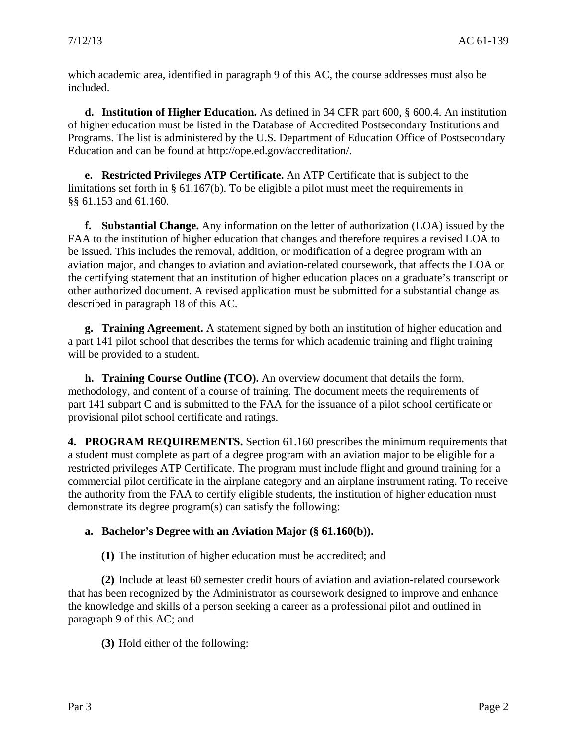which academic area, identified in paragraph 9 of this AC, the course addresses must also be included.

**d. Institution of Higher Education.** As defined in 34 CFR part 600, § 600.4. An institution of higher education must be listed in the Database of Accredited Postsecondary Institutions and Programs. The list is administered by the U.S. Department of Education Office of Postsecondary Education and can be found at http://ope.ed.gov/accreditation/.

**e. Restricted Privileges ATP Certificate.** An ATP Certificate that is subject to the limitations set forth in § 61.167(b). To be eligible a pilot must meet the requirements in §§ 61.153 and 61.160.

**f. Substantial Change.** Any information on the letter of authorization (LOA) issued by the FAA to the institution of higher education that changes and therefore requires a revised LOA to be issued. This includes the removal, addition, or modification of a degree program with an aviation major, and changes to aviation and aviation-related coursework, that affects the LOA or the certifying statement that an institution of higher education places on a graduate's transcript or other authorized document. A revised application must be submitted for a substantial change as described in paragraph 18 of this AC.

**g. Training Agreement.** A statement signed by both an institution of higher education and a part 141 pilot school that describes the terms for which academic training and flight training will be provided to a student.

**h. Training Course Outline (TCO).** An overview document that details the form, methodology, and content of a course of training. The document meets the requirements of part 141 subpart C and is submitted to the FAA for the issuance of a pilot school certificate or provisional pilot school certificate and ratings.

**4. PROGRAM REQUIREMENTS.** Section 61.160 prescribes the minimum requirements that a student must complete as part of a degree program with an aviation major to be eligible for a restricted privileges ATP Certificate. The program must include flight and ground training for a commercial pilot certificate in the airplane category and an airplane instrument rating. To receive the authority from the FAA to certify eligible students, the institution of higher education must demonstrate its degree program(s) can satisfy the following:

#### **a. Bachelor's Degree with an Aviation Major (§ 61.160(b)).**

**(1)** The institution of higher education must be accredited; and

**(2)** Include at least 60 semester credit hours of aviation and aviation-related coursework that has been recognized by the Administrator as coursework designed to improve and enhance the knowledge and skills of a person seeking a career as a professional pilot and outlined in paragraph 9 of this AC; and

**(3)** Hold either of the following: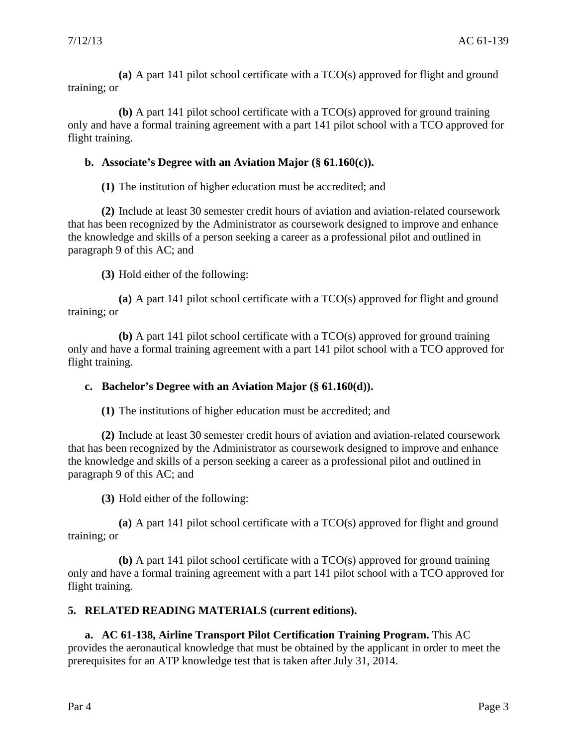**(a)** A part 141 pilot school certificate with a TCO(s) approved for flight and ground training; or

**(b)** A part 141 pilot school certificate with a TCO(s) approved for ground training only and have a formal training agreement with a part 141 pilot school with a TCO approved for flight training.

# **b. Associate's Degree with an Aviation Major (§ 61.160(c)).**

**(1)** The institution of higher education must be accredited; and

**(2)** Include at least 30 semester credit hours of aviation and aviation-related coursework that has been recognized by the Administrator as coursework designed to improve and enhance the knowledge and skills of a person seeking a career as a professional pilot and outlined in paragraph 9 of this AC; and

**(3)** Hold either of the following:

**(a)** A part 141 pilot school certificate with a TCO(s) approved for flight and ground training; or

**(b)** A part 141 pilot school certificate with a TCO(s) approved for ground training only and have a formal training agreement with a part 141 pilot school with a TCO approved for flight training.

#### **c. Bachelor's Degree with an Aviation Major (§ 61.160(d)).**

**(1)** The institutions of higher education must be accredited; and

**(2)** Include at least 30 semester credit hours of aviation and aviation-related coursework that has been recognized by the Administrator as coursework designed to improve and enhance the knowledge and skills of a person seeking a career as a professional pilot and outlined in paragraph 9 of this AC; and

**(3)** Hold either of the following:

**(a)** A part 141 pilot school certificate with a TCO(s) approved for flight and ground training; or

**(b)** A part 141 pilot school certificate with a TCO(s) approved for ground training only and have a formal training agreement with a part 141 pilot school with a TCO approved for flight training.

# **5. RELATED READING MATERIALS (current editions).**

**a. AC 61-138, Airline Transport Pilot Certification Training Program.** This AC provides the aeronautical knowledge that must be obtained by the applicant in order to meet the prerequisites for an ATP knowledge test that is taken after July 31, 2014.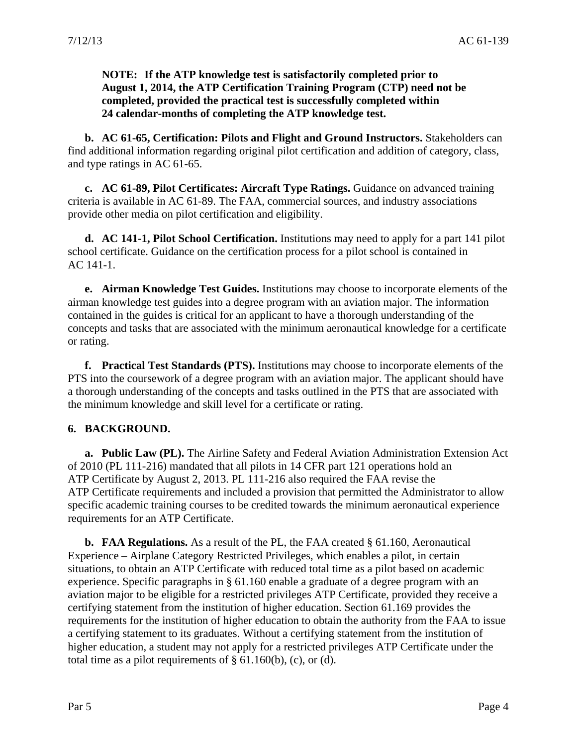**NOTE: If the ATP knowledge test is satisfactorily completed prior to August 1, 2014, the ATP Certification Training Program (CTP) need not be completed, provided the practical test is successfully completed within 24 calendar-months of completing the ATP knowledge test.** 

**b. AC 61-65, Certification: Pilots and Flight and Ground Instructors.** Stakeholders can find additional information regarding original pilot certification and addition of category, class, and type ratings in AC 61-65.

**c. AC 61-89, Pilot Certificates: Aircraft Type Ratings.** Guidance on advanced training criteria is available in AC 61-89. The FAA, commercial sources, and industry associations provide other media on pilot certification and eligibility.

**d. AC 141-1, Pilot School Certification.** Institutions may need to apply for a part 141 pilot school certificate. Guidance on the certification process for a pilot school is contained in AC 141-1.

**e. Airman Knowledge Test Guides.** Institutions may choose to incorporate elements of the airman knowledge test guides into a degree program with an aviation major. The information contained in the guides is critical for an applicant to have a thorough understanding of the concepts and tasks that are associated with the minimum aeronautical knowledge for a certificate or rating.

**f. Practical Test Standards (PTS).** Institutions may choose to incorporate elements of the PTS into the coursework of a degree program with an aviation major. The applicant should have a thorough understanding of the concepts and tasks outlined in the PTS that are associated with the minimum knowledge and skill level for a certificate or rating.

#### **6. BACKGROUND.**

**a. Public Law (PL).** The Airline Safety and Federal Aviation Administration Extension Act of 2010 (PL 111-216) mandated that all pilots in 14 CFR part 121 operations hold an ATP Certificate by August 2, 2013. PL 111-216 also required the FAA revise the ATP Certificate requirements and included a provision that permitted the Administrator to allow specific academic training courses to be credited towards the minimum aeronautical experience requirements for an ATP Certificate.

**b. FAA Regulations.** As a result of the PL, the FAA created § 61.160, Aeronautical Experience – Airplane Category Restricted Privileges, which enables a pilot, in certain situations, to obtain an ATP Certificate with reduced total time as a pilot based on academic experience. Specific paragraphs in § 61.160 enable a graduate of a degree program with an aviation major to be eligible for a restricted privileges ATP Certificate, provided they receive a certifying statement from the institution of higher education. Section 61.169 provides the requirements for the institution of higher education to obtain the authority from the FAA to issue a certifying statement to its graduates. Without a certifying statement from the institution of higher education, a student may not apply for a restricted privileges ATP Certificate under the total time as a pilot requirements of  $\S$  61.160(b), (c), or (d).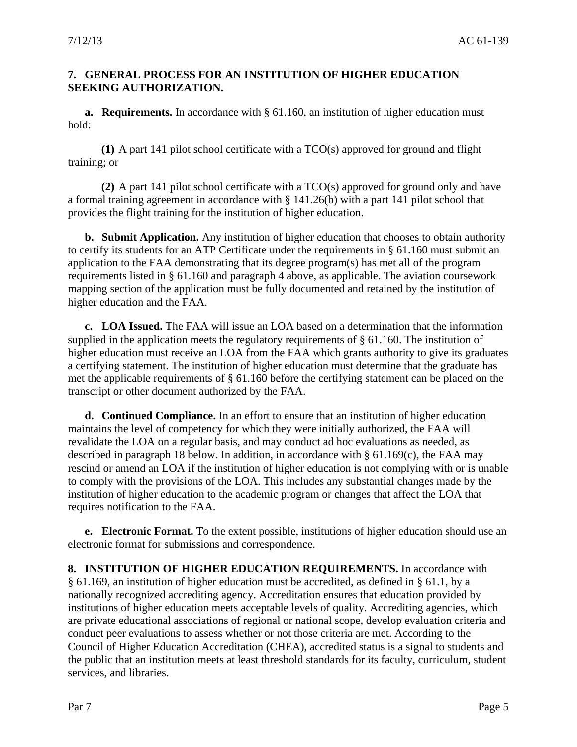#### **7. GENERAL PROCESS FOR AN INSTITUTION OF HIGHER EDUCATION SEEKING AUTHORIZATION.**

**a. Requirements.** In accordance with § 61.160, an institution of higher education must hold:

**(1)** A part 141 pilot school certificate with a TCO(s) approved for ground and flight training; or

**(2)** A part 141 pilot school certificate with a TCO(s) approved for ground only and have a formal training agreement in accordance with § 141.26(b) with a part 141 pilot school that provides the flight training for the institution of higher education.

**b. Submit Application.** Any institution of higher education that chooses to obtain authority to certify its students for an ATP Certificate under the requirements in § 61.160 must submit an application to the FAA demonstrating that its degree program(s) has met all of the program requirements listed in § 61.160 and paragraph 4 above, as applicable. The aviation coursework mapping section of the application must be fully documented and retained by the institution of higher education and the FAA.

**c. LOA Issued.** The FAA will issue an LOA based on a determination that the information supplied in the application meets the regulatory requirements of § 61.160. The institution of higher education must receive an LOA from the FAA which grants authority to give its graduates a certifying statement. The institution of higher education must determine that the graduate has met the applicable requirements of § 61.160 before the certifying statement can be placed on the transcript or other document authorized by the FAA.

**d. Continued Compliance.** In an effort to ensure that an institution of higher education maintains the level of competency for which they were initially authorized, the FAA will revalidate the LOA on a regular basis, and may conduct ad hoc evaluations as needed, as described in paragraph 18 below. In addition, in accordance with  $\S$  61.169(c), the FAA may rescind or amend an LOA if the institution of higher education is not complying with or is unable to comply with the provisions of the LOA. This includes any substantial changes made by the institution of higher education to the academic program or changes that affect the LOA that requires notification to the FAA.

**e. Electronic Format.** To the extent possible, institutions of higher education should use an electronic format for submissions and correspondence.

**8. INSTITUTION OF HIGHER EDUCATION REQUIREMENTS.** In accordance with § 61.169, an institution of higher education must be accredited, as defined in § 61.1, by a nationally recognized accrediting agency. Accreditation ensures that education provided by institutions of higher education meets acceptable levels of quality. Accrediting agencies, which are private educational associations of regional or national scope, develop evaluation criteria and conduct peer evaluations to assess whether or not those criteria are met. According to the Council of Higher Education Accreditation (CHEA), accredited status is a signal to students and the public that an institution meets at least threshold standards for its faculty, curriculum, student services, and libraries.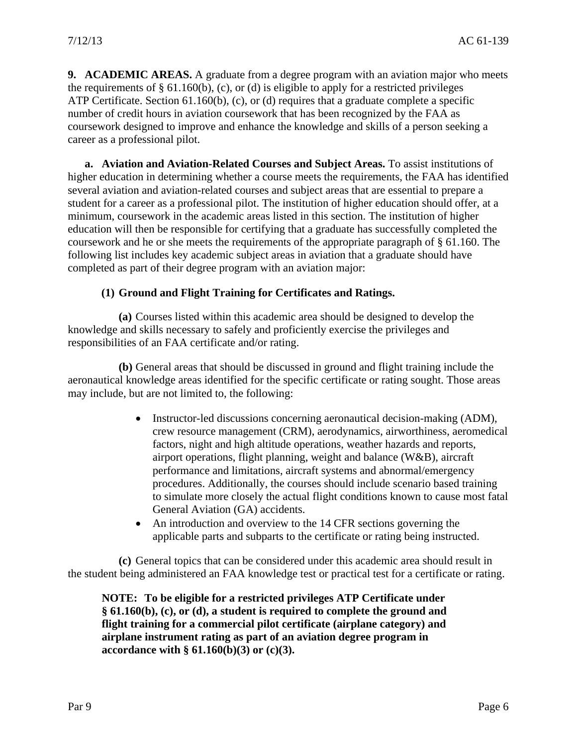**9. ACADEMIC AREAS.** A graduate from a degree program with an aviation major who meets the requirements of  $\S 61.160(b)$ , (c), or (d) is eligible to apply for a restricted privileges ATP Certificate. Section 61.160(b), (c), or (d) requires that a graduate complete a specific number of credit hours in aviation coursework that has been recognized by the FAA as coursework designed to improve and enhance the knowledge and skills of a person seeking a career as a professional pilot.

**a. Aviation and Aviation-Related Courses and Subject Areas.** To assist institutions of higher education in determining whether a course meets the requirements, the FAA has identified several aviation and aviation-related courses and subject areas that are essential to prepare a student for a career as a professional pilot. The institution of higher education should offer, at a minimum, coursework in the academic areas listed in this section. The institution of higher education will then be responsible for certifying that a graduate has successfully completed the coursework and he or she meets the requirements of the appropriate paragraph of § 61.160. The following list includes key academic subject areas in aviation that a graduate should have completed as part of their degree program with an aviation major:

# **(1) Ground and Flight Training for Certificates and Ratings.**

**(a)** Courses listed within this academic area should be designed to develop the knowledge and skills necessary to safely and proficiently exercise the privileges and responsibilities of an FAA certificate and/or rating.

**(b)** General areas that should be discussed in ground and flight training include the aeronautical knowledge areas identified for the specific certificate or rating sought. Those areas may include, but are not limited to, the following:

- Instructor-led discussions concerning aeronautical decision-making (ADM), crew resource management (CRM), aerodynamics, airworthiness, aeromedical factors, night and high altitude operations, weather hazards and reports, airport operations, flight planning, weight and balance (W&B), aircraft performance and limitations, aircraft systems and abnormal/emergency procedures. Additionally, the courses should include scenario based training to simulate more closely the actual flight conditions known to cause most fatal General Aviation (GA) accidents.
- An introduction and overview to the 14 CFR sections governing the applicable parts and subparts to the certificate or rating being instructed.

**(c)** General topics that can be considered under this academic area should result in the student being administered an FAA knowledge test or practical test for a certificate or rating.

**NOTE: To be eligible for a restricted privileges ATP Certificate under § 61.160(b), (c), or (d), a student is required to complete the ground and flight training for a commercial pilot certificate (airplane category) and airplane instrument rating as part of an aviation degree program in accordance with § 61.160(b)(3) or (c)(3).**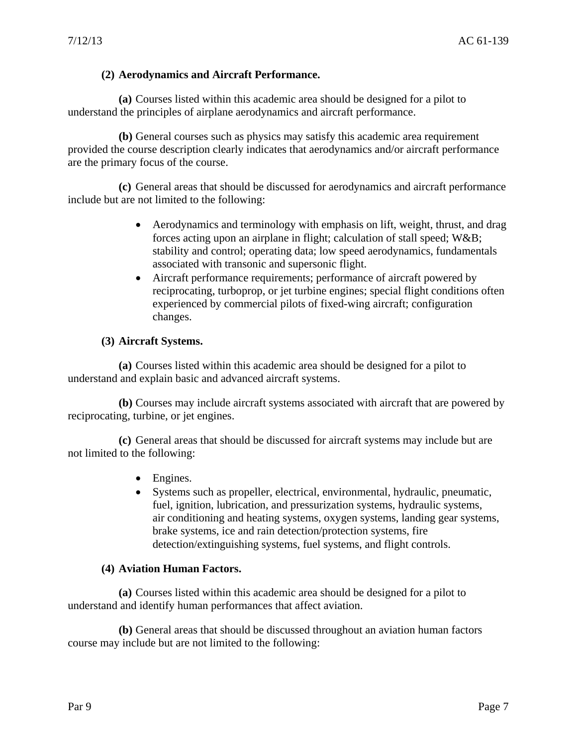# **(2) Aerodynamics and Aircraft Performance.**

**(a)** Courses listed within this academic area should be designed for a pilot to understand the principles of airplane aerodynamics and aircraft performance.

**(b)** General courses such as physics may satisfy this academic area requirement provided the course description clearly indicates that aerodynamics and/or aircraft performance are the primary focus of the course.

**(c)** General areas that should be discussed for aerodynamics and aircraft performance include but are not limited to the following:

- Aerodynamics and terminology with emphasis on lift, weight, thrust, and drag forces acting upon an airplane in flight; calculation of stall speed; W&B; stability and control; operating data; low speed aerodynamics, fundamentals associated with transonic and supersonic flight.
- Aircraft performance requirements; performance of aircraft powered by reciprocating, turboprop, or jet turbine engines; special flight conditions often experienced by commercial pilots of fixed-wing aircraft; configuration changes.

# **(3) Aircraft Systems.**

**(a)** Courses listed within this academic area should be designed for a pilot to understand and explain basic and advanced aircraft systems.

**(b)** Courses may include aircraft systems associated with aircraft that are powered by reciprocating, turbine, or jet engines.

**(c)** General areas that should be discussed for aircraft systems may include but are not limited to the following:

- Engines.
- Systems such as propeller, electrical, environmental, hydraulic, pneumatic, fuel, ignition, lubrication, and pressurization systems, hydraulic systems, air conditioning and heating systems, oxygen systems, landing gear systems, brake systems, ice and rain detection/protection systems, fire detection/extinguishing systems, fuel systems, and flight controls.

# **(4) Aviation Human Factors.**

**(a)** Courses listed within this academic area should be designed for a pilot to understand and identify human performances that affect aviation.

**(b)** General areas that should be discussed throughout an aviation human factors course may include but are not limited to the following: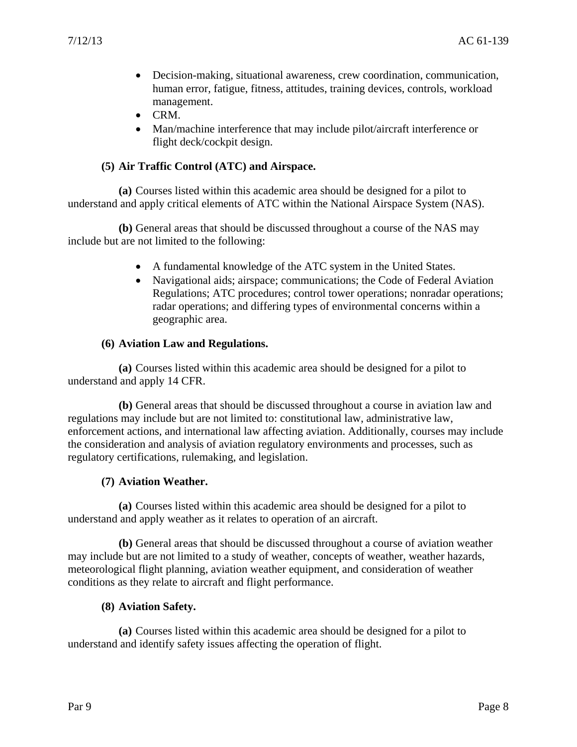- Decision-making, situational awareness, crew coordination, communication, human error, fatigue, fitness, attitudes, training devices, controls, workload management.
- CRM.
- Man/machine interference that may include pilot/aircraft interference or flight deck/cockpit design.

### **(5) Air Traffic Control (ATC) and Airspace.**

**(a)** Courses listed within this academic area should be designed for a pilot to understand and apply critical elements of ATC within the National Airspace System (NAS).

**(b)** General areas that should be discussed throughout a course of the NAS may include but are not limited to the following:

- A fundamental knowledge of the ATC system in the United States.
- Navigational aids; airspace; communications; the Code of Federal Aviation Regulations; ATC procedures; control tower operations; nonradar operations; radar operations; and differing types of environmental concerns within a geographic area.

#### **(6) Aviation Law and Regulations.**

**(a)** Courses listed within this academic area should be designed for a pilot to understand and apply 14 CFR.

**(b)** General areas that should be discussed throughout a course in aviation law and regulations may include but are not limited to: constitutional law, administrative law, enforcement actions, and international law affecting aviation. Additionally, courses may include the consideration and analysis of aviation regulatory environments and processes, such as regulatory certifications, rulemaking, and legislation.

# **(7) Aviation Weather.**

**(a)** Courses listed within this academic area should be designed for a pilot to understand and apply weather as it relates to operation of an aircraft.

**(b)** General areas that should be discussed throughout a course of aviation weather may include but are not limited to a study of weather, concepts of weather, weather hazards, meteorological flight planning, aviation weather equipment, and consideration of weather conditions as they relate to aircraft and flight performance.

#### **(8) Aviation Safety.**

**(a)** Courses listed within this academic area should be designed for a pilot to understand and identify safety issues affecting the operation of flight.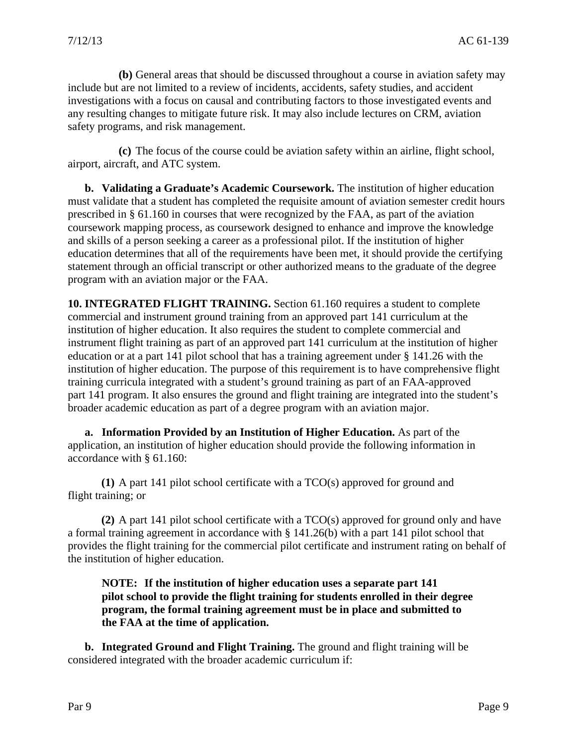**(b)** General areas that should be discussed throughout a course in aviation safety may include but are not limited to a review of incidents, accidents, safety studies, and accident investigations with a focus on causal and contributing factors to those investigated events and any resulting changes to mitigate future risk. It may also include lectures on CRM, aviation safety programs, and risk management.

**(c)** The focus of the course could be aviation safety within an airline, flight school, airport, aircraft, and ATC system.

**b. Validating a Graduate's Academic Coursework.** The institution of higher education must validate that a student has completed the requisite amount of aviation semester credit hours prescribed in § 61.160 in courses that were recognized by the FAA, as part of the aviation coursework mapping process, as coursework designed to enhance and improve the knowledge and skills of a person seeking a career as a professional pilot. If the institution of higher education determines that all of the requirements have been met, it should provide the certifying statement through an official transcript or other authorized means to the graduate of the degree program with an aviation major or the FAA.

**10. INTEGRATED FLIGHT TRAINING.** Section 61.160 requires a student to complete commercial and instrument ground training from an approved part 141 curriculum at the institution of higher education. It also requires the student to complete commercial and instrument flight training as part of an approved part 141 curriculum at the institution of higher education or at a part 141 pilot school that has a training agreement under § 141.26 with the institution of higher education. The purpose of this requirement is to have comprehensive flight training curricula integrated with a student's ground training as part of an FAA-approved part 141 program. It also ensures the ground and flight training are integrated into the student's broader academic education as part of a degree program with an aviation major.

**a. Information Provided by an Institution of Higher Education.** As part of the application, an institution of higher education should provide the following information in accordance with § 61.160:

**(1)** A part 141 pilot school certificate with a TCO(s) approved for ground and flight training; or

**(2)** A part 141 pilot school certificate with a TCO(s) approved for ground only and have a formal training agreement in accordance with § 141.26(b) with a part 141 pilot school that provides the flight training for the commercial pilot certificate and instrument rating on behalf of the institution of higher education.

**NOTE: If the institution of higher education uses a separate part 141 pilot school to provide the flight training for students enrolled in their degree program, the formal training agreement must be in place and submitted to the FAA at the time of application.** 

**b. Integrated Ground and Flight Training.** The ground and flight training will be considered integrated with the broader academic curriculum if: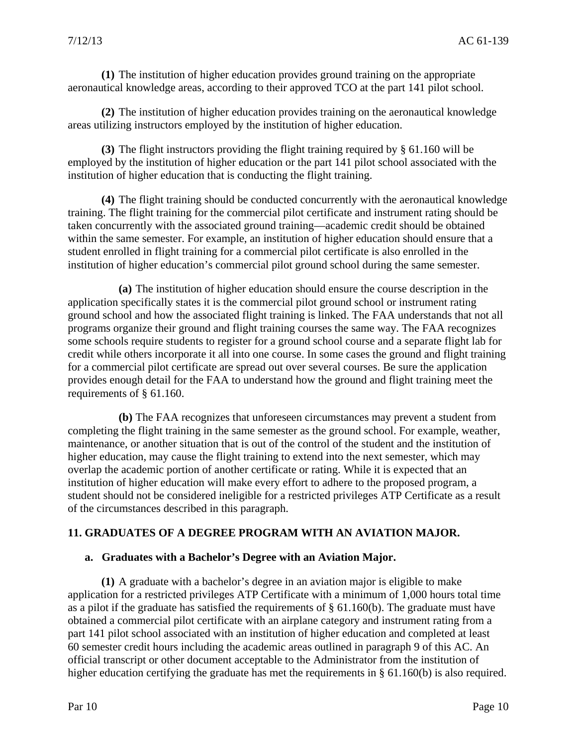**(1)** The institution of higher education provides ground training on the appropriate aeronautical knowledge areas, according to their approved TCO at the part 141 pilot school.

**(2)** The institution of higher education provides training on the aeronautical knowledge areas utilizing instructors employed by the institution of higher education.

**(3)** The flight instructors providing the flight training required by § 61.160 will be employed by the institution of higher education or the part 141 pilot school associated with the institution of higher education that is conducting the flight training.

**(4)** The flight training should be conducted concurrently with the aeronautical knowledge training. The flight training for the commercial pilot certificate and instrument rating should be taken concurrently with the associated ground training—academic credit should be obtained within the same semester. For example, an institution of higher education should ensure that a student enrolled in flight training for a commercial pilot certificate is also enrolled in the institution of higher education's commercial pilot ground school during the same semester.

**(a)** The institution of higher education should ensure the course description in the application specifically states it is the commercial pilot ground school or instrument rating ground school and how the associated flight training is linked. The FAA understands that not all programs organize their ground and flight training courses the same way. The FAA recognizes some schools require students to register for a ground school course and a separate flight lab for credit while others incorporate it all into one course. In some cases the ground and flight training for a commercial pilot certificate are spread out over several courses. Be sure the application provides enough detail for the FAA to understand how the ground and flight training meet the requirements of § 61.160.

**(b)** The FAA recognizes that unforeseen circumstances may prevent a student from completing the flight training in the same semester as the ground school. For example, weather, maintenance, or another situation that is out of the control of the student and the institution of higher education, may cause the flight training to extend into the next semester, which may overlap the academic portion of another certificate or rating. While it is expected that an institution of higher education will make every effort to adhere to the proposed program, a student should not be considered ineligible for a restricted privileges ATP Certificate as a result of the circumstances described in this paragraph.

#### **11. GRADUATES OF A DEGREE PROGRAM WITH AN AVIATION MAJOR.**

#### **a. Graduates with a Bachelor's Degree with an Aviation Major.**

**(1)** A graduate with a bachelor's degree in an aviation major is eligible to make application for a restricted privileges ATP Certificate with a minimum of 1,000 hours total time as a pilot if the graduate has satisfied the requirements of § 61.160(b). The graduate must have obtained a commercial pilot certificate with an airplane category and instrument rating from a part 141 pilot school associated with an institution of higher education and completed at least 60 semester credit hours including the academic areas outlined in paragraph 9 of this AC. An official transcript or other document acceptable to the Administrator from the institution of higher education certifying the graduate has met the requirements in § 61.160(b) is also required.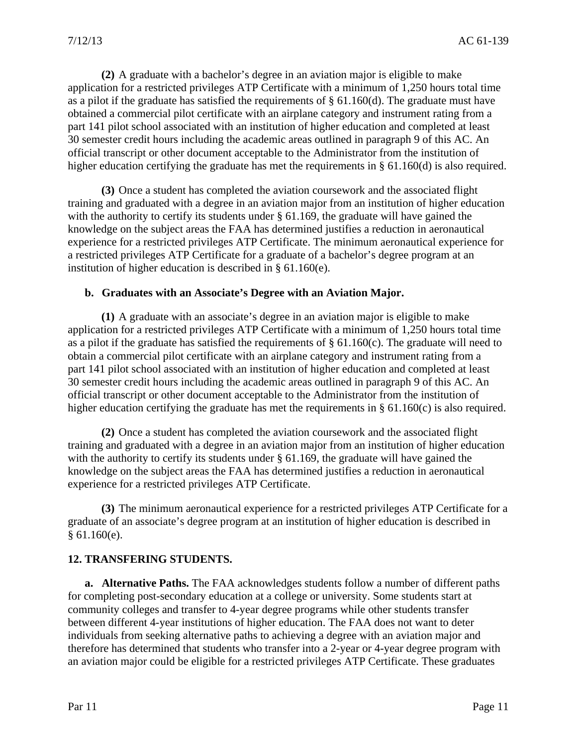**(2)** A graduate with a bachelor's degree in an aviation major is eligible to make application for a restricted privileges ATP Certificate with a minimum of 1,250 hours total time as a pilot if the graduate has satisfied the requirements of  $\S$  61.160(d). The graduate must have obtained a commercial pilot certificate with an airplane category and instrument rating from a part 141 pilot school associated with an institution of higher education and completed at least 30 semester credit hours including the academic areas outlined in paragraph 9 of this AC. An official transcript or other document acceptable to the Administrator from the institution of higher education certifying the graduate has met the requirements in § 61.160(d) is also required.

**(3)** Once a student has completed the aviation coursework and the associated flight training and graduated with a degree in an aviation major from an institution of higher education with the authority to certify its students under § 61.169, the graduate will have gained the knowledge on the subject areas the FAA has determined justifies a reduction in aeronautical experience for a restricted privileges ATP Certificate. The minimum aeronautical experience for a restricted privileges ATP Certificate for a graduate of a bachelor's degree program at an institution of higher education is described in § 61.160(e).

#### **b. Graduates with an Associate's Degree with an Aviation Major.**

**(1)** A graduate with an associate's degree in an aviation major is eligible to make application for a restricted privileges ATP Certificate with a minimum of 1,250 hours total time as a pilot if the graduate has satisfied the requirements of  $\S$  61.160(c). The graduate will need to obtain a commercial pilot certificate with an airplane category and instrument rating from a part 141 pilot school associated with an institution of higher education and completed at least 30 semester credit hours including the academic areas outlined in paragraph 9 of this AC. An official transcript or other document acceptable to the Administrator from the institution of higher education certifying the graduate has met the requirements in § 61.160(c) is also required.

**(2)** Once a student has completed the aviation coursework and the associated flight training and graduated with a degree in an aviation major from an institution of higher education with the authority to certify its students under § 61.169, the graduate will have gained the knowledge on the subject areas the FAA has determined justifies a reduction in aeronautical experience for a restricted privileges ATP Certificate.

**(3)** The minimum aeronautical experience for a restricted privileges ATP Certificate for a graduate of an associate's degree program at an institution of higher education is described in  $§ 61.160(e).$ 

#### **12. TRANSFERING STUDENTS.**

**a. Alternative Paths.** The FAA acknowledges students follow a number of different paths for completing post-secondary education at a college or university. Some students start at community colleges and transfer to 4-year degree programs while other students transfer between different 4-year institutions of higher education. The FAA does not want to deter individuals from seeking alternative paths to achieving a degree with an aviation major and therefore has determined that students who transfer into a 2-year or 4-year degree program with an aviation major could be eligible for a restricted privileges ATP Certificate. These graduates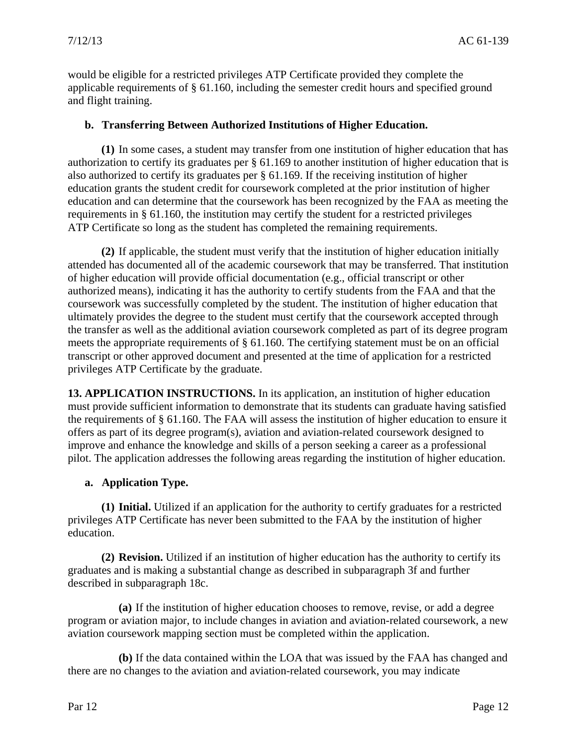would be eligible for a restricted privileges ATP Certificate provided they complete the applicable requirements of § 61.160, including the semester credit hours and specified ground and flight training.

#### **b. Transferring Between Authorized Institutions of Higher Education.**

**(1)** In some cases, a student may transfer from one institution of higher education that has authorization to certify its graduates per § 61.169 to another institution of higher education that is also authorized to certify its graduates per § 61.169. If the receiving institution of higher education grants the student credit for coursework completed at the prior institution of higher education and can determine that the coursework has been recognized by the FAA as meeting the requirements in § 61.160, the institution may certify the student for a restricted privileges ATP Certificate so long as the student has completed the remaining requirements.

**(2)** If applicable, the student must verify that the institution of higher education initially attended has documented all of the academic coursework that may be transferred. That institution of higher education will provide official documentation (e.g., official transcript or other authorized means), indicating it has the authority to certify students from the FAA and that the coursework was successfully completed by the student. The institution of higher education that ultimately provides the degree to the student must certify that the coursework accepted through the transfer as well as the additional aviation coursework completed as part of its degree program meets the appropriate requirements of § 61.160. The certifying statement must be on an official transcript or other approved document and presented at the time of application for a restricted privileges ATP Certificate by the graduate.

**13. APPLICATION INSTRUCTIONS.** In its application, an institution of higher education must provide sufficient information to demonstrate that its students can graduate having satisfied the requirements of § 61.160. The FAA will assess the institution of higher education to ensure it offers as part of its degree program(s), aviation and aviation-related coursework designed to improve and enhance the knowledge and skills of a person seeking a career as a professional pilot. The application addresses the following areas regarding the institution of higher education.

#### **a. Application Type.**

**(1) Initial.** Utilized if an application for the authority to certify graduates for a restricted privileges ATP Certificate has never been submitted to the FAA by the institution of higher education.

**(2) Revision.** Utilized if an institution of higher education has the authority to certify its graduates and is making a substantial change as described in subparagraph 3f and further described in subparagraph 18c.

**(a)** If the institution of higher education chooses to remove, revise, or add a degree program or aviation major, to include changes in aviation and aviation-related coursework, a new aviation coursework mapping section must be completed within the application.

**(b)** If the data contained within the LOA that was issued by the FAA has changed and there are no changes to the aviation and aviation-related coursework, you may indicate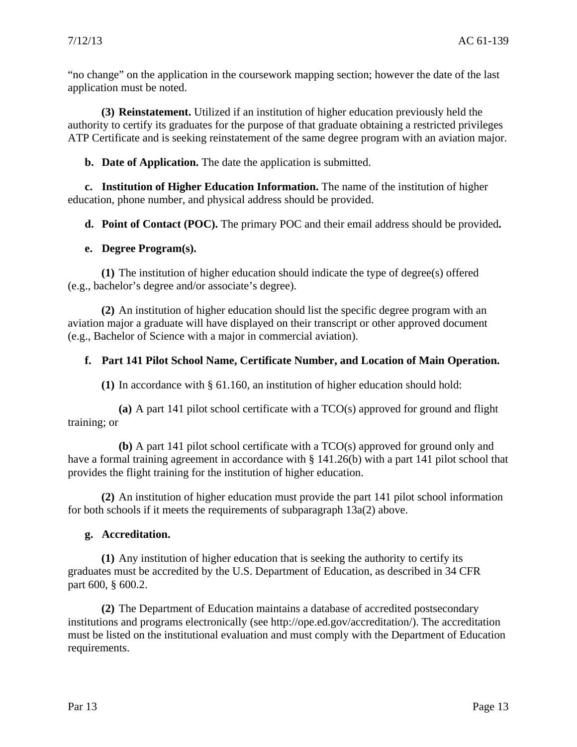"no change" on the application in the coursework mapping section; however the date of the last application must be noted.

**(3) Reinstatement.** Utilized if an institution of higher education previously held the authority to certify its graduates for the purpose of that graduate obtaining a restricted privileges ATP Certificate and is seeking reinstatement of the same degree program with an aviation major.

**b. Date of Application.** The date the application is submitted.

**c. Institution of Higher Education Information.** The name of the institution of higher education, phone number, and physical address should be provided.

**d. Point of Contact (POC).** The primary POC and their email address should be provided**.** 

#### **e. Degree Program(s).**

**(1)** The institution of higher education should indicate the type of degree(s) offered (e.g., bachelor's degree and/or associate's degree).

**(2)** An institution of higher education should list the specific degree program with an aviation major a graduate will have displayed on their transcript or other approved document (e.g., Bachelor of Science with a major in commercial aviation).

#### **f. Part 141 Pilot School Name, Certificate Number, and Location of Main Operation.**

**(1)** In accordance with § 61.160, an institution of higher education should hold:

**(a)** A part 141 pilot school certificate with a TCO(s) approved for ground and flight training; or

**(b)** A part 141 pilot school certificate with a TCO(s) approved for ground only and have a formal training agreement in accordance with § 141.26(b) with a part 141 pilot school that provides the flight training for the institution of higher education.

**(2)** An institution of higher education must provide the part 141 pilot school information for both schools if it meets the requirements of subparagraph 13a(2) above.

#### **g. Accreditation.**

**(1)** Any institution of higher education that is seeking the authority to certify its graduates must be accredited by the U.S. Department of Education, as described in 34 CFR part 600, § 600.2.

**(2)** The Department of Education maintains a database of accredited postsecondary institutions and programs electronically (see [http://ope.ed.gov/accreditation/\)](http://ope.ed.gov/accreditation/). The accreditation must be listed on the institutional evaluation and must comply with the Department of Education requirements.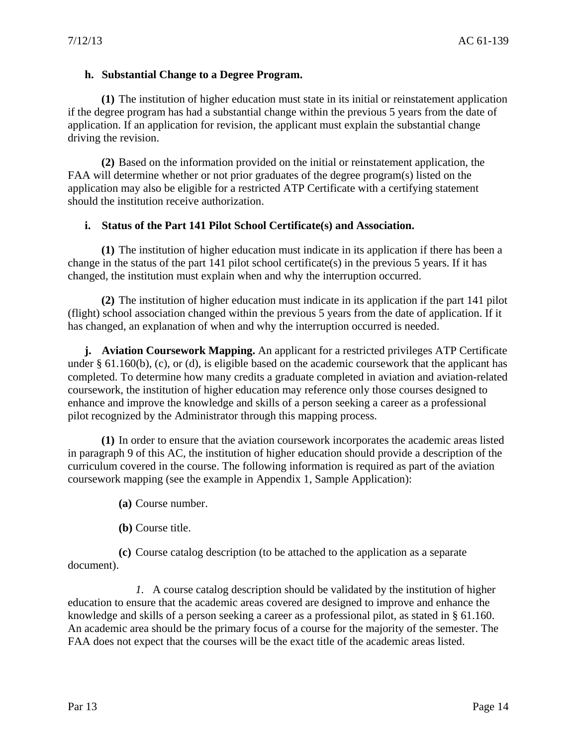### **h. Substantial Change to a Degree Program.**

**(1)** The institution of higher education must state in its initial or reinstatement application if the degree program has had a substantial change within the previous 5 years from the date of application. If an application for revision, the applicant must explain the substantial change driving the revision.

**(2)** Based on the information provided on the initial or reinstatement application, the FAA will determine whether or not prior graduates of the degree program(s) listed on the application may also be eligible for a restricted ATP Certificate with a certifying statement should the institution receive authorization.

# **i. Status of the Part 141 Pilot School Certificate(s) and Association.**

**(1)** The institution of higher education must indicate in its application if there has been a change in the status of the part 141 pilot school certificate(s) in the previous 5 years. If it has changed, the institution must explain when and why the interruption occurred.

**(2)** The institution of higher education must indicate in its application if the part 141 pilot (flight) school association changed within the previous 5 years from the date of application. If it has changed, an explanation of when and why the interruption occurred is needed.

**j. Aviation Coursework Mapping.** An applicant for a restricted privileges ATP Certificate under § 61.160(b), (c), or (d), is eligible based on the academic coursework that the applicant has completed. To determine how many credits a graduate completed in aviation and aviation-related coursework, the institution of higher education may reference only those courses designed to enhance and improve the knowledge and skills of a person seeking a career as a professional pilot recognized by the Administrator through this mapping process.

**(1)** In order to ensure that the aviation coursework incorporates the academic areas listed in paragraph 9 of this AC, the institution of higher education should provide a description of the curriculum covered in the course. The following information is required as part of the aviation coursework mapping (see the example in Appendix 1, Sample Application):

- **(a)** Course number.
- **(b)** Course title.

**(c)** Course catalog description (to be attached to the application as a separate document).

*1.* A course catalog description should be validated by the institution of higher education to ensure that the academic areas covered are designed to improve and enhance the knowledge and skills of a person seeking a career as a professional pilot, as stated in § 61.160. An academic area should be the primary focus of a course for the majority of the semester. The FAA does not expect that the courses will be the exact title of the academic areas listed.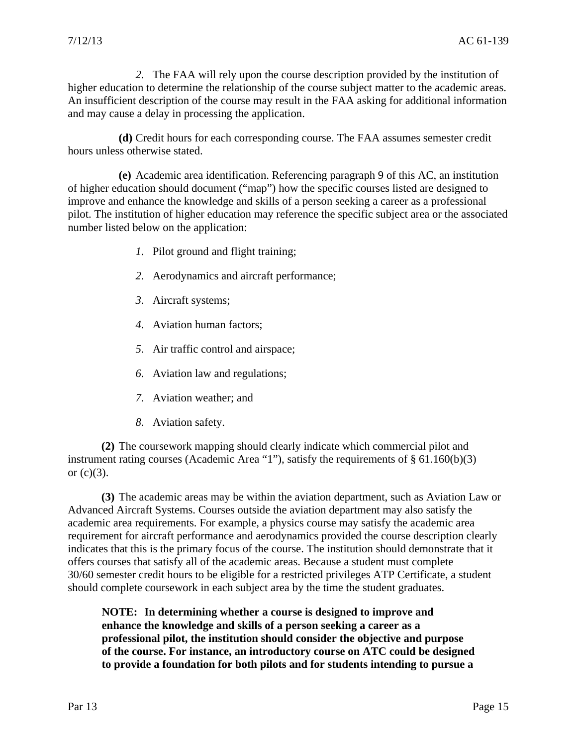*2.* The FAA will rely upon the course description provided by the institution of higher education to determine the relationship of the course subject matter to the academic areas. An insufficient description of the course may result in the FAA asking for additional information and may cause a delay in processing the application.

**(d)** Credit hours for each corresponding course. The FAA assumes semester credit hours unless otherwise stated.

**(e)** Academic area identification. Referencing paragraph 9 of this AC, an institution of higher education should document ("map") how the specific courses listed are designed to improve and enhance the knowledge and skills of a person seeking a career as a professional pilot. The institution of higher education may reference the specific subject area or the associated number listed below on the application:

- *1.* Pilot ground and flight training;
- *2.* Aerodynamics and aircraft performance;
- *3.* Aircraft systems;
- *4.* Aviation human factors;
- *5.* Air traffic control and airspace;
- *6.* Aviation law and regulations;
- *7.* Aviation weather; and
- *8.* Aviation safety.

**(2)** The coursework mapping should clearly indicate which commercial pilot and instrument rating courses (Academic Area "1"), satisfy the requirements of § 61.160(b)(3) or  $(c)(3)$ .

**(3)** The academic areas may be within the aviation department, such as Aviation Law or Advanced Aircraft Systems. Courses outside the aviation department may also satisfy the academic area requirements. For example, a physics course may satisfy the academic area requirement for aircraft performance and aerodynamics provided the course description clearly indicates that this is the primary focus of the course. The institution should demonstrate that it offers courses that satisfy all of the academic areas. Because a student must complete 30/60 semester credit hours to be eligible for a restricted privileges ATP Certificate, a student should complete coursework in each subject area by the time the student graduates.

**NOTE: In determining whether a course is designed to improve and enhance the knowledge and skills of a person seeking a career as a professional pilot, the institution should consider the objective and purpose of the course. For instance, an introductory course on ATC could be designed to provide a foundation for both pilots and for students intending to pursue a**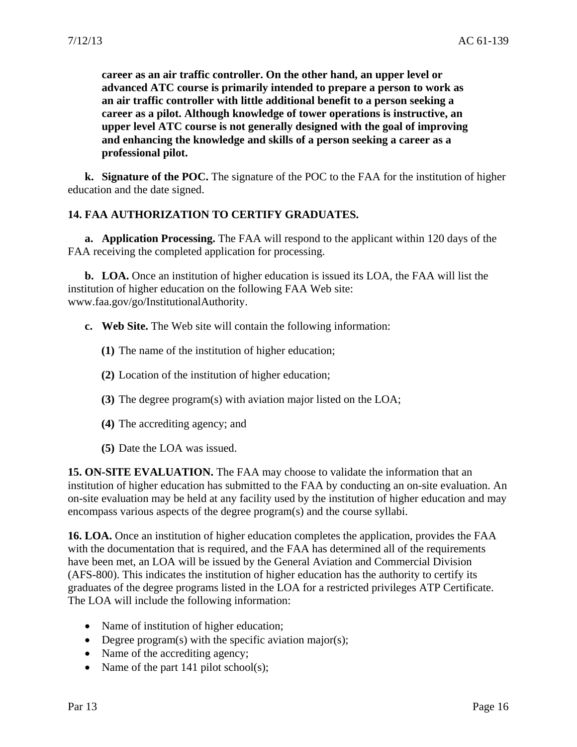**career as an air traffic controller. On the other hand, an upper level or advanced ATC course is primarily intended to prepare a person to work as an air traffic controller with little additional benefit to a person seeking a career as a pilot. Although knowledge of tower operations is instructive, an upper level ATC course is not generally designed with the goal of improving and enhancing the knowledge and skills of a person seeking a career as a professional pilot.** 

**k. Signature of the POC.** The signature of the POC to the FAA for the institution of higher education and the date signed.

# **14. FAA AUTHORIZATION TO CERTIFY GRADUATES.**

**a. Application Processing.** The FAA will respond to the applicant within 120 days of the FAA receiving the completed application for processing.

**b. LOA.** Once an institution of higher education is issued its LOA, the FAA will list the institution of higher education on the following FAA Web site: www.faa.gov/go/InstitutionalAuthority.

- **c. Web Site.** The Web site will contain the following information:
	- **(1)** The name of the institution of higher education;
	- **(2)** Location of the institution of higher education;
	- **(3)** The degree program(s) with aviation major listed on the LOA;
	- **(4)** The accrediting agency; and
	- **(5)** Date the LOA was issued.

**15. ON-SITE EVALUATION.** The FAA may choose to validate the information that an institution of higher education has submitted to the FAA by conducting an on-site evaluation. An on-site evaluation may be held at any facility used by the institution of higher education and may encompass various aspects of the degree program(s) and the course syllabi.

**16. LOA.** Once an institution of higher education completes the application, provides the FAA with the documentation that is required, and the FAA has determined all of the requirements have been met, an LOA will be issued by the General Aviation and Commercial Division (AFS-800). This indicates the institution of higher education has the authority to certify its graduates of the degree programs listed in the LOA for a restricted privileges ATP Certificate. The LOA will include the following information:

- Name of institution of higher education;
- Degree program(s) with the specific aviation major(s);
- Name of the accrediting agency;
- Name of the part 141 pilot school(s);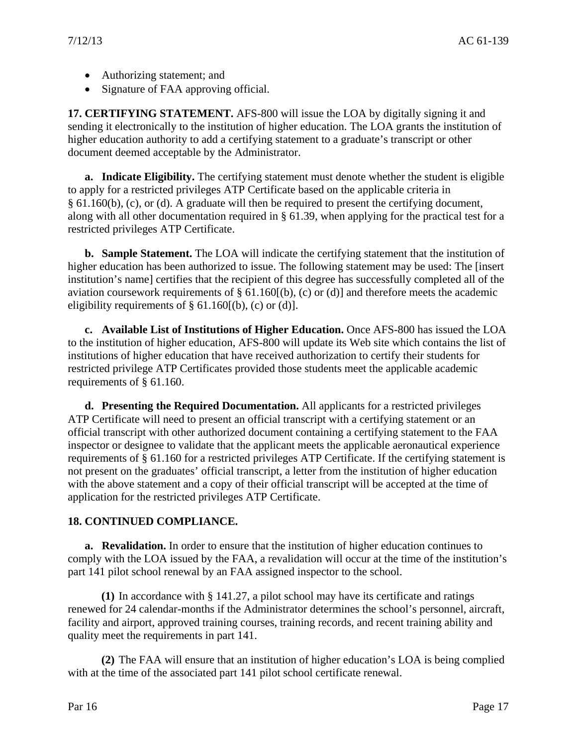- Authorizing statement; and
- Signature of FAA approving official.

**17. CERTIFYING STATEMENT.** AFS-800 will issue the LOA by digitally signing it and sending it electronically to the institution of higher education. The LOA grants the institution of higher education authority to add a certifying statement to a graduate's transcript or other document deemed acceptable by the Administrator.

**a. Indicate Eligibility.** The certifying statement must denote whether the student is eligible to apply for a restricted privileges ATP Certificate based on the applicable criteria in § 61.160(b), (c), or (d). A graduate will then be required to present the certifying document, along with all other documentation required in § 61.39, when applying for the practical test for a restricted privileges ATP Certificate.

**b. Sample Statement.** The LOA will indicate the certifying statement that the institution of higher education has been authorized to issue. The following statement may be used: The [insert institution's name] certifies that the recipient of this degree has successfully completed all of the aviation coursework requirements of § 61.160[(b), (c) or (d)] and therefore meets the academic eligibility requirements of  $\S 61.160[(b), (c)$  or (d)].

**c. Available List of Institutions of Higher Education.** Once AFS-800 has issued the LOA to the institution of higher education, AFS-800 will update its Web site which contains the list of institutions of higher education that have received authorization to certify their students for restricted privilege ATP Certificates provided those students meet the applicable academic requirements of § 61.160.

**d. Presenting the Required Documentation.** All applicants for a restricted privileges ATP Certificate will need to present an official transcript with a certifying statement or an official transcript with other authorized document containing a certifying statement to the FAA inspector or designee to validate that the applicant meets the applicable aeronautical experience requirements of § 61.160 for a restricted privileges ATP Certificate. If the certifying statement is not present on the graduates' official transcript, a letter from the institution of higher education with the above statement and a copy of their official transcript will be accepted at the time of application for the restricted privileges ATP Certificate.

# **18. CONTINUED COMPLIANCE.**

**a. Revalidation.** In order to ensure that the institution of higher education continues to comply with the LOA issued by the FAA, a revalidation will occur at the time of the institution's part 141 pilot school renewal by an FAA assigned inspector to the school.

**(1)** In accordance with § 141.27, a pilot school may have its certificate and ratings renewed for 24 calendar-months if the Administrator determines the school's personnel, aircraft, facility and airport, approved training courses, training records, and recent training ability and quality meet the requirements in part 141.

**(2)** The FAA will ensure that an institution of higher education's LOA is being complied with at the time of the associated part 141 pilot school certificate renewal.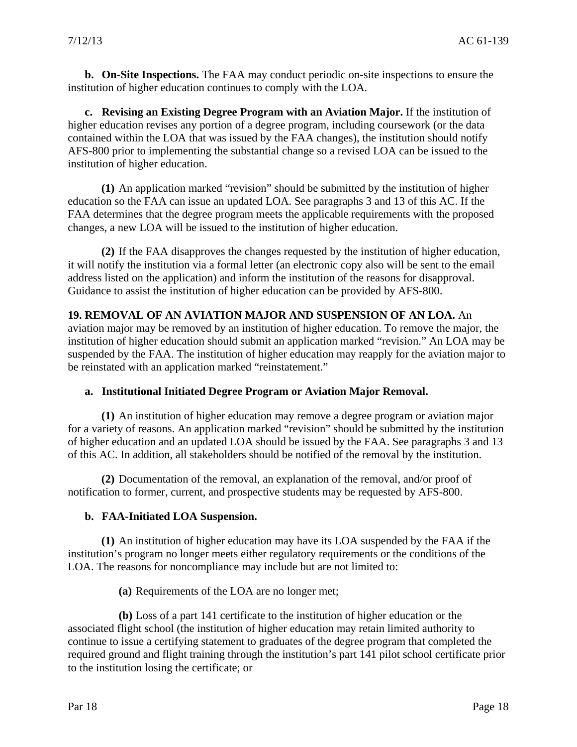**b. On-Site Inspections.** The FAA may conduct periodic on-site inspections to ensure the institution of higher education continues to comply with the LOA.

**c. Revising an Existing Degree Program with an Aviation Major.** If the institution of higher education revises any portion of a degree program, including coursework (or the data contained within the LOA that was issued by the FAA changes), the institution should notify AFS-800 prior to implementing the substantial change so a revised LOA can be issued to the institution of higher education.

**(1)** An application marked "revision" should be submitted by the institution of higher education so the FAA can issue an updated LOA. See paragraphs 3 and 13 of this AC. If the FAA determines that the degree program meets the applicable requirements with the proposed changes, a new LOA will be issued to the institution of higher education.

**(2)** If the FAA disapproves the changes requested by the institution of higher education, it will notify the institution via a formal letter (an electronic copy also will be sent to the email address listed on the application) and inform the institution of the reasons for disapproval. Guidance to assist the institution of higher education can be provided by AFS-800.

#### **19. REMOVAL OF AN AVIATION MAJOR AND SUSPENSION OF AN LOA.** An

aviation major may be removed by an institution of higher education. To remove the major, the institution of higher education should submit an application marked "revision." An LOA may be suspended by the FAA. The institution of higher education may reapply for the aviation major to be reinstated with an application marked "reinstatement."

#### **a. Institutional Initiated Degree Program or Aviation Major Removal.**

**(1)** An institution of higher education may remove a degree program or aviation major for a variety of reasons. An application marked "revision" should be submitted by the institution of higher education and an updated LOA should be issued by the FAA. See paragraphs 3 and 13 of this AC. In addition, all stakeholders should be notified of the removal by the institution.

**(2)** Documentation of the removal, an explanation of the removal, and/or proof of notification to former, current, and prospective students may be requested by AFS-800.

#### **b. FAA-Initiated LOA Suspension.**

**(1)** An institution of higher education may have its LOA suspended by the FAA if the institution's program no longer meets either regulatory requirements or the conditions of the LOA. The reasons for noncompliance may include but are not limited to:

**(a)** Requirements of the LOA are no longer met;

**(b)** Loss of a part 141 certificate to the institution of higher education or the associated flight school (the institution of higher education may retain limited authority to continue to issue a certifying statement to graduates of the degree program that completed the required ground and flight training through the institution's part 141 pilot school certificate prior to the institution losing the certificate; or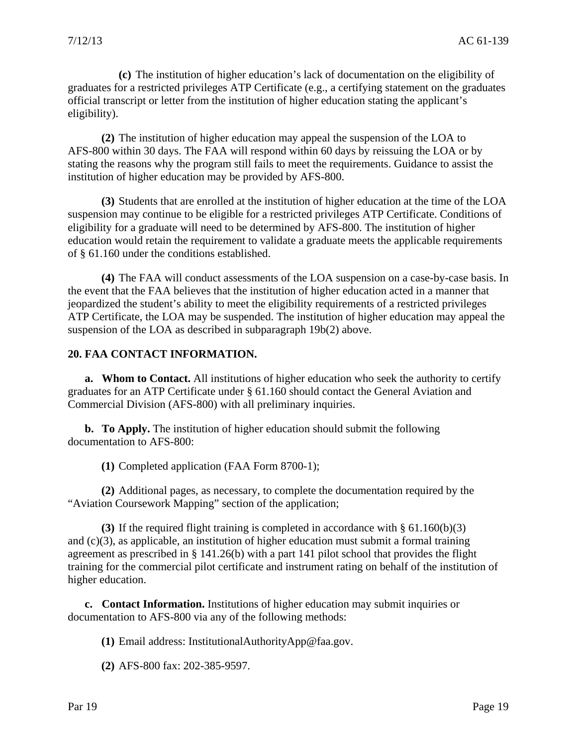**(c)** The institution of higher education's lack of documentation on the eligibility of graduates for a restricted privileges ATP Certificate (e.g., a certifying statement on the graduates official transcript or letter from the institution of higher education stating the applicant's eligibility).

**(2)** The institution of higher education may appeal the suspension of the LOA to AFS-800 within 30 days. The FAA will respond within 60 days by reissuing the LOA or by stating the reasons why the program still fails to meet the requirements. Guidance to assist the institution of higher education may be provided by AFS-800.

**(3)** Students that are enrolled at the institution of higher education at the time of the LOA suspension may continue to be eligible for a restricted privileges ATP Certificate. Conditions of eligibility for a graduate will need to be determined by AFS-800. The institution of higher education would retain the requirement to validate a graduate meets the applicable requirements of § 61.160 under the conditions established.

**(4)** The FAA will conduct assessments of the LOA suspension on a case-by-case basis. In the event that the FAA believes that the institution of higher education acted in a manner that jeopardized the student's ability to meet the eligibility requirements of a restricted privileges ATP Certificate, the LOA may be suspended. The institution of higher education may appeal the suspension of the LOA as described in subparagraph 19b(2) above.

#### **20. FAA CONTACT INFORMATION.**

**a. Whom to Contact.** All institutions of higher education who seek the authority to certify graduates for an ATP Certificate under § 61.160 should contact the General Aviation and Commercial Division (AFS-800) with all preliminary inquiries.

**b. To Apply.** The institution of higher education should submit the following documentation to AFS-800:

**(1)** Completed application (FAA Form 8700-1);

**(2)** Additional pages, as necessary, to complete the documentation required by the "Aviation Coursework Mapping" section of the application;

**(3)** If the required flight training is completed in accordance with § 61.160(b)(3) and (c)(3), as applicable, an institution of higher education must submit a formal training agreement as prescribed in § 141.26(b) with a part 141 pilot school that provides the flight training for the commercial pilot certificate and instrument rating on behalf of the institution of higher education.

**c. Contact Information.** Institutions of higher education may submit inquiries or documentation to AFS-800 via any of the following methods:

**(1)** Email address: InstitutionalAuthorityApp@faa.gov.

**(2)** AFS-800 fax: 202-385-9597.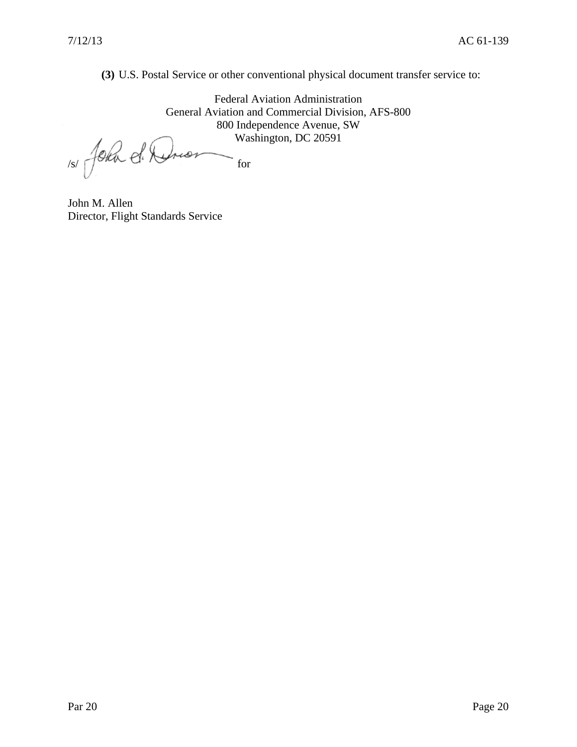**(3)** U.S. Postal Service or other conventional physical document transfer service to:

Federal Aviation Administration General Aviation and Commercial Division, AFS-800 800 Independence Avenue, SW Washington, DC 20591

1s/ John d. Drion For

John M. Allen Director, Flight Standards Service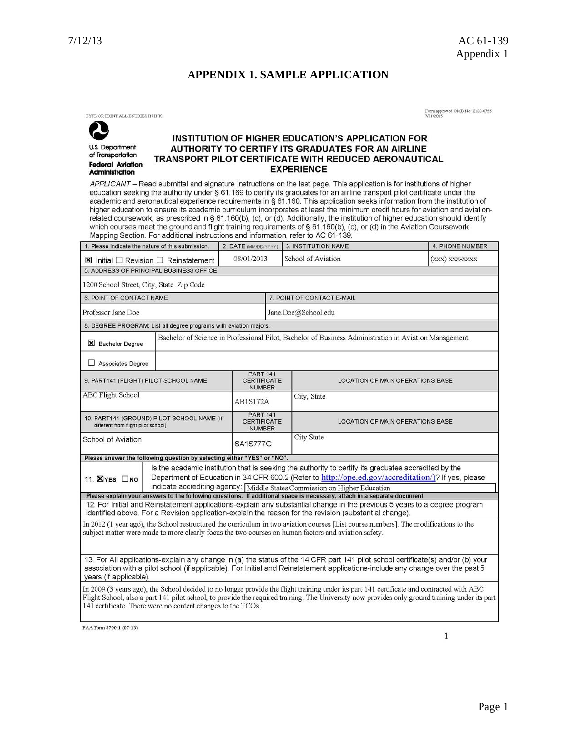#### **APPENDIX 1. SAMPLE APPLICATION**

TYPE OR PRINT ALL ENTRIES IN INK

U.S. Department

of Transportation

Administration

**Federal Aviation** 

Form approved OMB No: 2120-0755<br>7/31/2015

#### **INSTITUTION OF HIGHER EDUCATION'S APPLICATION FOR** AUTHORITY TO CERTIFY ITS GRADUATES FOR AN AIRLINE TRANSPORT PILOT CERTIFICATE WITH REDUCED AERONAUTICAL **EXPERIENCE**

APPLICANT - Read submittal and signature instructions on the last page. This application is for institutions of higher education seeking the authority under § 61.169 to certify its graduates for an airline transport pilot certificate under the academic and aeronautical experience requirements in § 61.160. This application seeks information from the institution of higher education to ensure its academic curriculum incorporates at least the minimum credit hours for aviation and aviationrelated coursework, as prescribed in § 61.160(b), (c), or (d). Additionally, the institution of higher education should identify<br>which courses meet the ground and flight training requirements of § 61.160(b), (c), or (d) in Mapping Section. For additional instructions and information, refer to AC 61-139.

| 1. Please indicate the nature of this submission.                                                                                                                                                                                                                                                                                                          |                                                                                                       | 2. DATE (MM/DD/YYYY)                                   |                     | 3. INSTITUTION NAME                     | 4. PHONE NUMBER  |  |  |  |
|------------------------------------------------------------------------------------------------------------------------------------------------------------------------------------------------------------------------------------------------------------------------------------------------------------------------------------------------------------|-------------------------------------------------------------------------------------------------------|--------------------------------------------------------|---------------------|-----------------------------------------|------------------|--|--|--|
| $\boxtimes$ Initial $\Box$ Revision $\Box$ Reinstatement                                                                                                                                                                                                                                                                                                   |                                                                                                       | 08/01/2013                                             |                     | School of Aviation                      | $(xxx)$ xxx-xxxx |  |  |  |
| 5. ADDRESS OF PRINCIPAL BUSINESS OFFICE                                                                                                                                                                                                                                                                                                                    |                                                                                                       |                                                        |                     |                                         |                  |  |  |  |
| 1200 School Street, City, State Zip Code                                                                                                                                                                                                                                                                                                                   |                                                                                                       |                                                        |                     |                                         |                  |  |  |  |
| <b>6. POINT OF CONTACT NAME</b>                                                                                                                                                                                                                                                                                                                            |                                                                                                       |                                                        |                     | 7. POINT OF CONTACT E-MAIL              |                  |  |  |  |
| Professor Jane Doe                                                                                                                                                                                                                                                                                                                                         |                                                                                                       |                                                        | Jane.Doe@School.edu |                                         |                  |  |  |  |
| 8. DEGREE PROGRAM: List all degree programs with aviation majors.                                                                                                                                                                                                                                                                                          |                                                                                                       |                                                        |                     |                                         |                  |  |  |  |
| <b>X</b> Bachelor Degree                                                                                                                                                                                                                                                                                                                                   | Bachelor of Science in Professional Pilot, Bachelor of Business Administration in Aviation Management |                                                        |                     |                                         |                  |  |  |  |
| Associates Degree                                                                                                                                                                                                                                                                                                                                          |                                                                                                       |                                                        |                     |                                         |                  |  |  |  |
| 9. PART141 (FLIGHT) PILOT SCHOOL NAME                                                                                                                                                                                                                                                                                                                      |                                                                                                       | <b>PART 141</b><br><b>CERTIFICATE</b><br><b>NUMBER</b> |                     | LOCATION OF MAIN OPERATIONS BASE        |                  |  |  |  |
| <b>ABC Flight School</b>                                                                                                                                                                                                                                                                                                                                   |                                                                                                       | AB1S172A                                               |                     | City, State                             |                  |  |  |  |
| 10. PART141 (GROUND) PILOT SCHOOL NAME (If<br>different from flight pilot school)                                                                                                                                                                                                                                                                          |                                                                                                       | <b>PART 141</b><br><b>CERTIFICATE</b><br><b>NUMBER</b> |                     | <b>LOCATION OF MAIN OPERATIONS BASE</b> |                  |  |  |  |
| School of Aviation                                                                                                                                                                                                                                                                                                                                         |                                                                                                       | <b>SA1S777G</b>                                        |                     | <b>City State</b>                       |                  |  |  |  |
| Please answer the following question by selecting either "YES" or "NO".                                                                                                                                                                                                                                                                                    |                                                                                                       |                                                        |                     |                                         |                  |  |  |  |
| Is the academic institution that is seeking the authority to certify its graduates accredited by the<br>Department of Education in 34 CFR 600.2 (Refer to http://ope.ed.gov/accreditation/)? If yes, please<br>11. <b>X</b> YES ONO                                                                                                                        |                                                                                                       |                                                        |                     |                                         |                  |  |  |  |
| indicate accrediting agency: Middle States Commission on Higher Education<br>Please explain your answers to the following questions. If additional space is necessary, attach in a separate document.                                                                                                                                                      |                                                                                                       |                                                        |                     |                                         |                  |  |  |  |
| 12. For Initial and Reinstatement applications-explain any substantial change in the previous 5 years to a degree program<br>identified above. For a Revision application-explain the reason for the revision (substantial change).                                                                                                                        |                                                                                                       |                                                        |                     |                                         |                  |  |  |  |
| In 2012 (1 year ago), the School restructured the curriculum in two aviation courses [List course numbers]. The modifications to the<br>subject matter were made to more clearly focus the two courses on human factors and aviation safety.                                                                                                               |                                                                                                       |                                                        |                     |                                         |                  |  |  |  |
| 13. For All applications-explain any change in (a) the status of the 14 CFR part 141 pilot school certificate(s) and/or (b) your<br>association with a pilot school (if applicable). For Initial and Reinstatement applications-include any change over the past 5<br>years (if applicable).                                                               |                                                                                                       |                                                        |                     |                                         |                  |  |  |  |
| In 2009 (3 years ago), the School decided to no longer provide the flight training under its part 141 certificate and contracted with ABC<br>Flight School, also a part 141 pilot school, to provide the required training. The University now provides only ground training under its part<br>141 certificate. There were no content changes to the TCOs. |                                                                                                       |                                                        |                     |                                         |                  |  |  |  |

FAA Form 8700-1 (07-13)

 $\mathbf{1}$